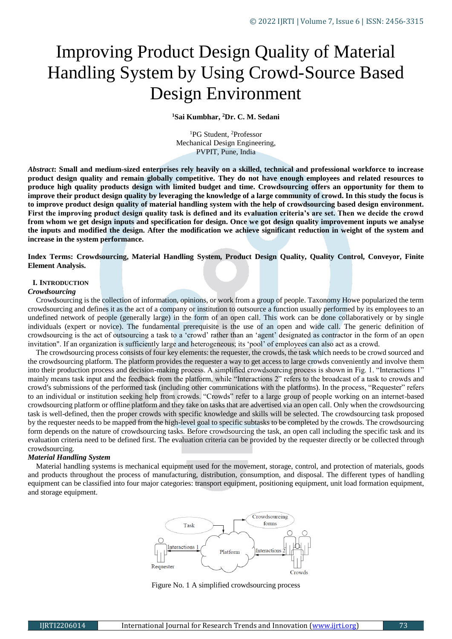# Improving Product Design Quality of Material Handling System by Using Crowd-Source Based Design Environment

**<sup>1</sup>Sai Kumbhar, <sup>2</sup>Dr. C. M. Sedani**

<sup>1</sup>PG Student, <sup>2</sup>Professor Mechanical Design Engineering, PVPIT, Pune, India

*Abstract***: Small and medium-sized enterprises rely heavily on a skilled, technical and professional workforce to increase product design quality and remain globally competitive. They do not have enough employees and related resources to produce high quality products design with limited budget and time. Crowdsourcing offers an opportunity for them to improve their product design quality by leveraging the knowledge of a large community of crowd. In this study the focus is to improve product design quality of material handling system with the help of crowdsourcing based design environment. First the improving product design quality task is defined and its evaluation criteria's are set. Then we decide the crowd from whom we get design inputs and specification for design. Once we got design quality improvement inputs we analyse the inputs and modified the design. After the modification we achieve significant reduction in weight of the system and increase in the system performance.**

**Index Terms: Crowdsourcing, Material Handling System, Product Design Quality, Quality Control, Conveyor, Finite Element Analysis.**

#### **I. INTRODUCTION**

#### *Crowdsourcing*

Crowdsourcing is the collection of information, opinions, or work from a group of people. Taxonomy Howe popularized the term crowdsourcing and defines it as the act of a company or institution to outsource a function usually performed by its employees to an undefined network of people (generally large) in the form of an open call. This work can be done collaboratively or by single individuals (expert or novice). The fundamental prerequisite is the use of an open and wide call. The generic definition of crowdsourcing is the act of outsourcing a task to a 'crowd' rather than an 'agent' designated as contractor in the form of an open invitation". If an organization is sufficiently large and heterogeneous; its 'pool' of employees can also act as a crowd.

The crowdsourcing process consists of four key elements: the requester, the crowds, the task which needs to be crowd sourced and the crowdsourcing platform. The platform provides the requester a way to get access to large crowds conveniently and involve them into their production process and decision-making process. A simplified crowdsourcing process is shown in Fig. 1. "Interactions 1" mainly means task input and the feedback from the platform, while "Interactions 2" refers to the broadcast of a task to crowds and crowd′s submissions of the performed task (including other communications with the platforms). In the process, "Requester" refers to an individual or institution seeking help from crowds. "Crowds" refer to a large group of people working on an internet-based crowdsourcing platform or offline platform and they take on tasks that are advertised via an open call. Only when the crowdsourcing task is well-defined, then the proper crowds with specific knowledge and skills will be selected. The crowdsourcing task proposed by the requester needs to be mapped from the high-level goal to specific subtasks to be completed by the crowds. The crowdsourcing form depends on the nature of crowdsourcing tasks. Before crowdsourcing the task, an open call including the specific task and its evaluation criteria need to be defined first. The evaluation criteria can be provided by the requester directly or be collected through crowdsourcing.

#### *Material Handling System*

Material handling systems is mechanical equipment used for the movement, storage, control, and protection of materials, goods and products throughout the process of manufacturing, distribution, consumption, and disposal. The different types of handling equipment can be classified into four major categories: transport equipment, positioning equipment, unit load formation equipment, and storage equipment.



Figure No. 1 A simplified crowdsourcing process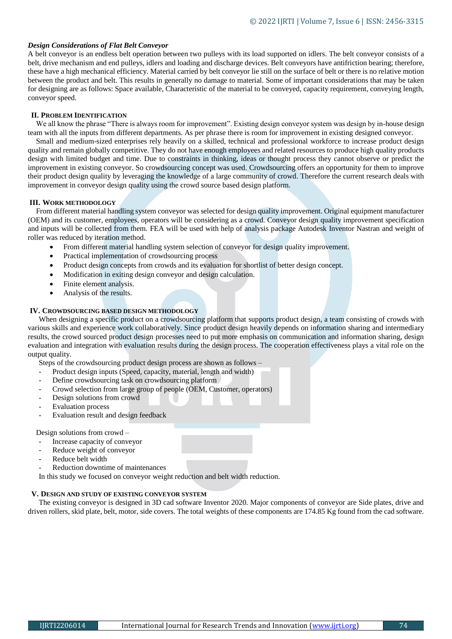# *Design Considerations of Flat Belt Conveyor*

A belt conveyor is an endless belt operation between two pulleys with its load supported on idlers. The belt conveyor consists of a belt, drive mechanism and end pulleys, idlers and loading and discharge devices. Belt conveyors have antifriction bearing; therefore, these have a high mechanical efficiency. Material carried by belt conveyor lie still on the surface of belt or there is no relative motion between the product and belt. This results in generally no damage to material. Some of important considerations that may be taken for designing are as follows: Space available, Characteristic of the material to be conveyed, capacity requirement, conveying length, conveyor speed.

### **II. PROBLEM IDENTIFICATION**

We all know the phrase "There is always room for improvement". Existing design conveyor system was design by in-house design team with all the inputs from different departments. As per phrase there is room for improvement in existing designed conveyor.

Small and medium-sized enterprises rely heavily on a skilled, technical and professional workforce to increase product design quality and remain globally competitive. They do not have enough employees and related resources to produce high quality products design with limited budget and time. Due to constraints in thinking, ideas or thought process they cannot observe or predict the improvement in existing conveyor. So crowdsourcing concept was used. Crowdsourcing offers an opportunity for them to improve their product design quality by leveraging the knowledge of a large community of crowd. Therefore the current research deals with improvement in conveyor design quality using the crowd source based design platform.

#### **III. WORK METHODOLOGY**

From different material handling system conveyor was selected for design quality improvement. Original equipment manufacturer (OEM) and its customer, employees, operators will be considering as a crowd. Conveyor design quality improvement specification and inputs will be collected from them. FEA will be used with help of analysis package Autodesk Inventor Nastran and weight of roller was reduced by iteration method.

- From different material handling system selection of conveyor for design quality improvement.
- Practical implementation of crowdsourcing process
- Product design concepts from crowds and its evaluation for shortlist of better design concept.
- Modification in exiting design conveyor and design calculation.
- Finite element analysis.
- Analysis of the results.

#### **IV. CROWDSOURCING BASED DESIGN METHODOLOGY**

When designing a specific product on a crowdsourcing platform that supports product design, a team consisting of crowds with various skills and experience work collaboratively. Since product design heavily depends on information sharing and intermediary results, the crowd sourced product design processes need to put more emphasis on communication and information sharing, design evaluation and integration with evaluation results during the design process. The cooperation effectiveness plays a vital role on the output quality.

Steps of the crowdsourcing product design process are shown as follows –

- Product design inputs (Speed, capacity, material, length and width)
- Define crowdsourcing task on crowdsourcing platform
- Crowd selection from large group of people (OEM, Customer, operators)
- Design solutions from crowd
- Evaluation process
- Evaluation result and design feedback

Design solutions from crowd –

- Increase capacity of conveyor
- Reduce weight of conveyor
- Reduce belt width
- Reduction downtime of maintenances
- In this study we focused on conveyor weight reduction and belt width reduction.

# **V. DESIGN AND STUDY OF EXISTING CONVEYOR SYSTEM**

The existing conveyor is designed in 3D cad software Inventor 2020. Major components of conveyor are Side plates, drive and driven rollers, skid plate, belt, motor, side covers. The total weights of these components are 174.85 Kg found from the cad software.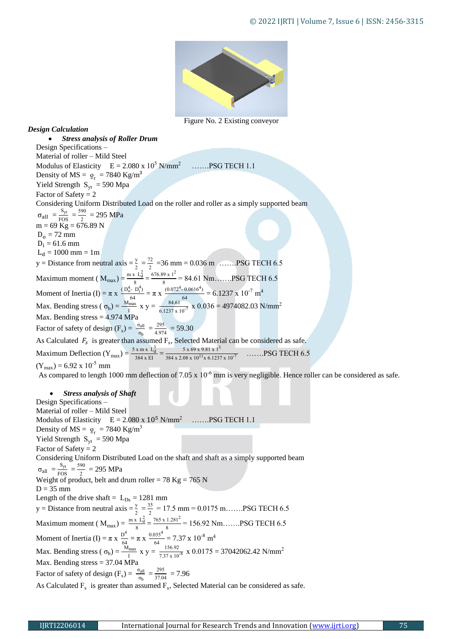

Figure No. 2 Existing conveyor

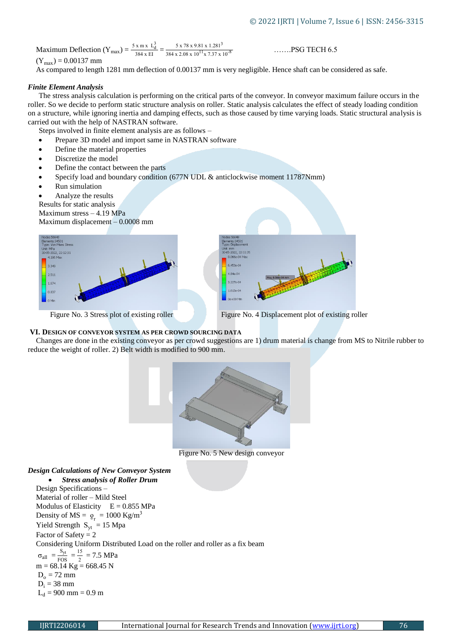Maximum Deflection  $(Y_{max}) = \frac{5 \times m \times L_d^3}{384 \times H}$  $\frac{x \text{ m} x \text{ L}_d^3}{384 \text{ x El}} = \frac{5 \times 78 \times 9.81 \times 1.281^3}{384 \times 2.08 \times 10^{11} \times 7.37 \times 10^{-8}}$  ......PSG TECH 6.5

 $(Y_{max}) = 0.00137$  mm

As compared to length 1281 mm deflection of 0.00137 mm is very negligible. Hence shaft can be considered as safe.

#### *Finite Element Analysis*

The stress analysis calculation is performing on the critical parts of the conveyor. In conveyor maximum failure occurs in the roller. So we decide to perform static structure analysis on roller. Static analysis calculates the effect of steady loading condition on a structure, while ignoring inertia and damping effects, such as those caused by time varying loads. Static structural analysis is carried out with the help of NASTRAN software.

- Steps involved in finite element analysis are as follows –
- Prepare 3D model and import same in NASTRAN software
- Define the material properties
- Discretize the model
- Define the contact between the parts
- Specify load and boundary condition (677N UDL & anticlockwise moment 11787Nmm)
- Run simulation
- Analyze the results

Results for static analysis

Maximum stress – 4.19 MPa

Maximum displacement – 0.0008 mm





#### **VI. DESIGN OF CONVEYOR SYSTEM AS PER CROWD SOURCING DATA**

Changes are done in the existing conveyor as per crowd suggestions are 1) drum material is change from MS to Nitrile rubber to reduce the weight of roller. 2) Belt width is modified to 900 mm.

,<br>22. 22–11–39



Figure No. 5 New design conveyor

# *Design Calculations of New Conveyor System Stress analysis of Roller Drum* Design Specifications – Material of roller – Mild Steel Modulus of Elasticity  $E = 0.855$  MPa Density of  $MS = \rho_r = 1000 \text{ kg/m}^3$ Yield Strength  $S_{yt} = 15$  Mpa Factor of Safety  $= 2$ Considering Uniform Distributed Load on the roller and roller as a fix beam  $\sigma_{\text{all}} = \frac{S_{\text{yt}}}{EOS}$  $\frac{\text{S}_{\text{yt}}}{\text{FOS}} = \frac{15}{2}$  $\frac{15}{2}$  = 7.5 MPa  $m = 68.14$  Kg = 668.45 N  $D_0 = 72$  mm  $D_i = 38$  mm  $L_d$  = 900 mm = 0.9 m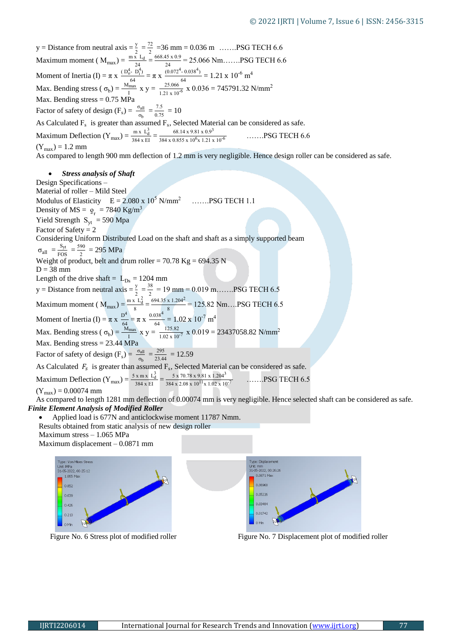y = Distance from neutral axis =  $\frac{y}{2} = \frac{72}{3} = 36$  mm = 0.036 m …….PSG TECH 6.6 Maximum moment ( $M_{\text{max}}$ ) =  $\frac{m \times L_d}{24} = \frac{2668.45 \times 0.9}{24}$  $\frac{15 \times 0.9}{24}$  = 25.066 Nm.......PSG TECH 6.6 Moment of Inertia (I) =  $\pi$  x  $\frac{(D_0^4 - D_1^4)}{(4\pi)^3}$  $\frac{(-D_1^4)}{64} = \pi \times \frac{(0.072^4 - 0.038^4)}{64}$  $\frac{(1-0.038^4)}{64}$  = 1.21 x 10<sup>-6</sup> m<sup>4</sup> Max. Bending stress (  $\sigma_b$ ) =  $\frac{M_{\text{max}}}{1}$  x y =  $\frac{25.066}{1.21 \times 10^{-6}}$  x 0.036 = 745791.32 N/mm<sup>2</sup> Max. Bending stress  $= 0.75$  MPa Factor of safety of design  $(F_s) = \frac{\sigma_{all}}{\sigma_b} = \frac{7.5}{0.75}$  $\frac{1.5}{0.75} = 10$ As Calculated  $F_s$  is greater than assumed  $F_s$ , Selected Material can be considered as safe. Maximum Deflection  $(Y_{max}) = \frac{mx L_d^3}{384 \times EI}$  $\frac{\text{m x L}_d^3}{384 \text{ x Et}} = \frac{68.14 \times 9.81 \times 0.9^3}{384 \times 0.855 \times 10^6 \times 1.21 \times}$  $384 \times 0.855 \times 10^6$ .......PSG TECH 6.6  $(Y_{\text{max}}) = 1.2$  mm As compared to length 900 mm deflection of 1.2 mm is very negligible. Hence design roller can be considered as safe. *Stress analysis of Shaft* Design Specifications – Material of roller – Mild Steel Modulus of Elasticity  $E = 2.080 \times 10^5$  N/mm<sup>2</sup> …….PSG TECH 1.1 Density of  $MS = \rho_r = 7840 \text{ Kg/m}^3$ Yield Strength  $S_{vt} = 590$  Mpa Factor of Safety  $= 2$ Considering Uniform Distributed Load on the shaft and shaft as a simply supported beam  $\sigma_{\text{all}} = \frac{S_{\text{yt}}}{EOS}$  $\frac{\text{S}_{\text{yt}}}{\text{FOS}} = \frac{590}{2}$  $\frac{90}{2}$  = 295 MPa Weight of product, belt and drum roller =  $70.78$  Kg =  $694.35$  N  $D = 38$  mm Length of the drive shaft =  $L_{Ds}$  = 1204 mm y = Distance from neutral axis =  $\frac{y}{2} = \frac{38}{2}$  $\frac{28}{2}$  = 19 mm = 0.019 m.......PSG TECH 6.5 Maximum moment ( $M_{\text{max}} = \frac{m \times L_d^2}{g}$  $\frac{x \text{ L}_d^2}{8} = \frac{694.35 \text{ x } 1.204^2}{8}$  $\frac{x}{8}$  = 125.82 Nm...PSG TECH 6.5 Moment of Inertia (I) =  $\pi x \frac{D^4}{G}$  $\frac{D^4}{64} = \pi \times \frac{0.038^4}{64}$  $\frac{338}{64}$  = 1.02 x 10<sup>-7</sup> m<sup>4</sup> Max. Bending stress (  $\sigma_b$ ) =  $\frac{M_{max}}{I} \times y = \frac{125.82}{1.02 \times 10^{-7}} \times 0.019 = 23437058.82 \text{ N/mm}^2$ Max. Bending stress = 23.44 MPa Factor of safety of design  $(F_s) = \frac{\sigma_{all}}{\sigma_b} = \frac{295}{23.4}$  $\frac{255}{23.44}$  = 12.59 As Calculated  $F_s$  is greater than assumed  $F_s$ , Selected Material can be considered as safe. Maximum Deflection  $(Y_{max}) = \frac{5 \times m \times L_d^3}{384 \times H}$  $\frac{x \text{ m} x \text{ L}^3_0}{384 \text{ x Hz}} = \frac{5 \times 70.78 \times 9.81 \times 1.204^3}{384 \times 2.08 \times 10^{11} \times 1.02 \times 10^{-7}}$  ......PSG TECH 6.5  $(Y_{max})$  = 0.00074 mm As compared to length 1281 mm deflection of 0.00074 mm is very negligible. Hence selected shaft can be considered as safe. *Finite Element Analysis of Modified Roller*

- Applied load is 677N and anticlockwise moment 11787 Nmm. Results obtained from static analysis of new design roller
- Maximum stress 1.065 MPa

Maximum displacement – 0.0871 mm





Figure No. 6 Stress plot of modified roller Figure No. 7 Displacement plot of modified roller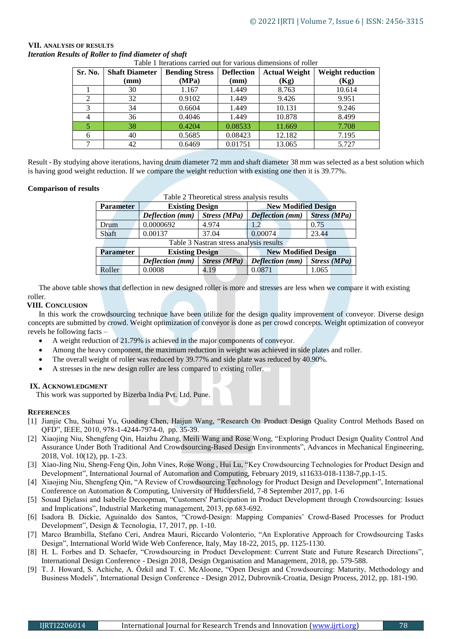| Sr. No. | <b>Shaft Diameter</b> | <b>Bending Stress</b> | <b>Deflection</b> | <b>Actual Weight</b> | <b>Weight reduction</b> |
|---------|-----------------------|-----------------------|-------------------|----------------------|-------------------------|
|         | (mm)                  | (MPa)                 | (mm)              | (Kg)                 | (Kg)                    |
|         | 30                    | 1.167                 | 1.449             | 8.763                | 10.614                  |
| 2       | 32                    | 0.9102                | 1.449             | 9.426                | 9.951                   |
| 3       | 34                    | 0.6604                | 1.449             | 10.131               | 9.246                   |
|         | 36                    | 0.4046                | 1.449             | 10.878               | 8.499                   |
|         | 38                    | 0.4204                | 0.08533           | 11.669               | 7.708                   |
| 6       | 40                    | 0.5685                | 0.08423           | 12.182               | 7.195                   |
|         | 42                    | 0.6469                | 0.01751           | 13.065               | 5.727                   |

# **VII. ANALYSIS OF RESULTS**  *Iteration Results of Roller to find diameter of shaft*

table 1 the 1 integrations can be valued out for various dimensions of roller

Result - By studying above iterations, having drum diameter 72 mm and shaft diameter 38 mm was selected as a best solution which is having good weight reduction. If we compare the weight reduction with existing one then it is 39.77%.

# **Comparison of results**

| Table 2 Theoretical stress analysis results |                        |              |                            |                     |  |  |  |  |
|---------------------------------------------|------------------------|--------------|----------------------------|---------------------|--|--|--|--|
| <b>Parameter</b>                            | <b>Existing Design</b> |              | <b>New Modified Design</b> |                     |  |  |  |  |
|                                             | Deflection (mm)        | Stress (MPa) | Deflection (mm)            | <b>Stress</b> (MPa) |  |  |  |  |
| Drum                                        | 0.0000692              | 4.974        |                            | 0.75                |  |  |  |  |
| Shaft                                       | 0.00137                | 37.04        | 0.00074                    | 23.44               |  |  |  |  |
| Table 3 Nastran stress analysis results     |                        |              |                            |                     |  |  |  |  |
| <b>Parameter</b>                            | <b>Existing Design</b> |              | <b>New Modified Design</b> |                     |  |  |  |  |
|                                             | Deflection (mm)        | Stress (MPa) | Deflection (mm)            | Stress (MPa)        |  |  |  |  |
| Roller                                      | 0.0008                 | 4.19         | 0.0871                     | 1.065               |  |  |  |  |

The above table shows that deflection in new designed roller is more and stresses are less when we compare it with existing roller.

# **VIII. CONCLUSION**

In this work the crowdsourcing technique have been utilize for the design quality improvement of conveyor. Diverse design concepts are submitted by crowd. Weight optimization of conveyor is done as per crowd concepts. Weight optimization of conveyor revels he following facts –

- A weight reduction of 21.79% is achieved in the major components of conveyor.
- Among the heavy component, the maximum reduction in weight was achieved in side plates and roller.
- The overall weight of roller was reduced by 39.77% and side plate was reduced by 40.90%.
- A stresses in the new design roller are less compared to existing roller.

# **IX. ACKNOWLEDGMENT**

This work was supported by Bizerba India Pvt. Ltd. Pune.

# **REFERENCES**

- [1] Jianjie Chu, Suihuai Yu, Guoding Chen, Haijun Wang, "Research On Product Design Quality Control Methods Based on QFD", IEEE, 2010, 978-1-4244-7974-0, pp. 35-39.
- [2] Xiaojing Niu, Shengfeng Qin, Haizhu Zhang, Meili Wang and Rose Wong, "Exploring Product Design Quality Control And Assurance Under Both Traditional And Crowdsourcing-Based Design Environments", Advances in Mechanical Engineering, 2018, Vol. 10(12), pp. 1-23.
- [3] Xiao-Jing Niu, Sheng-Feng Qin, John Vines, Rose Wong , Hui Lu, "Key Crowdsourcing Technologies for Product Design and Development", International Journal of Automation and Computing, February 2019, s11633-018-1138-7,pp.1-15.
- [4] Xiaojing Niu, Shengfeng Qin, "A Review of Crowdsourcing Technology for Product Design and Development", International Conference on Automation & Computing, University of Huddersfield, 7-8 September 2017, pp. 1-6
- [5] Souad Djelassi and Isabelle Decoopman, "Customers' Participation in Product Development through Crowdsourcing: Issues and Implications", Industrial Marketing management, 2013, pp.683-692.
- [6] Isadora B. Dickie, Aguinaldo dos Santos, "Crowd-Design: Mapping Companies' Crowd-Based Processes for Product Development", Design & Tecnologia, 17, 2017, pp. 1-10.
- [7] Marco Brambilla, Stefano Ceri, Andrea Mauri, Riccardo Volonterio, "An Explorative Approach for Crowdsourcing Tasks Design", International World Wide Web Conference, Italy, May 18-22, 2015, pp. 1125-1130.
- [8] H. L. Forbes and D. Schaefer, "Crowdsourcing in Product Development: Current State and Future Research Directions", International Design Conference - Design 2018, Design Organisation and Management, 2018, pp. 579-588.
- [9] T. J. Howard, S. Achiche, A. Özkil and T. C. McAloone, "Open Design and Crowdsourcing: Maturity, Methodology and Business Models", International Design Conference - Design 2012, Dubrovnik-Croatia, Design Process, 2012, pp. 181-190.